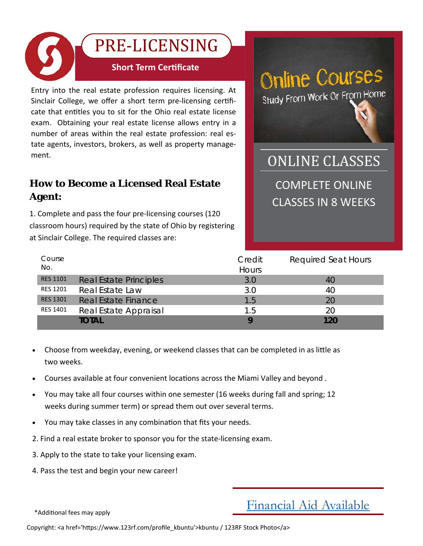

Entry into the real estate profession requires licensing. At Sinclair College, we offer a short term pre-licensing certificate that entitles you to sit for the Ohio real estate license exam. Obtaining your real estate license allows entry in a number of areas within the real estate profession: real es‐ tate agents, investors, brokers, as well as property manage‐ ment.

### **How to Become a Licensed Real Estate Agent:**

1. Complete and pass the four pre‐licensing courses (120 classroom hours) required by the state of Ohio by registering at Sinclair College. The required classes are:



COMPLETE ONLINE CLASSES IN 8 WEEKS **ONLINE CLASSES** 

| Course<br>No.   |                               | Credit<br>Hours | <b>Required Seat Hours</b> |
|-----------------|-------------------------------|-----------------|----------------------------|
| <b>RES 1101</b> | <b>Real Estate Principles</b> | 3.0             | 40                         |
| <b>RES 1201</b> | Real Estate Law               | 3.0             | 40                         |
| <b>RES 1301</b> | Real Estate Finance           | 1.5             | 20                         |
| <b>RES 1401</b> | Real Estate Appraisal         | 1.5             | 20                         |
|                 | total                         | Q               | 120                        |

- Choose from weekday, evening, or weekend classes that can be completed in as little as two weeks.
- Courses available at four convenient locations across the Miami Valley and beyond.
- You may take all four courses within one semester (16 weeks during fall and spring; 12 weeks during summer term) or spread them out over several terms.
- You may take classes in any combination that fits your needs.
- 2. Find a real estate broker to sponsor you for the state‐licensing exam.
- 3. Apply to the state to take your licensing exam.
- 4. Pass the test and begin your new career!

\*AddiƟonal fees may apply

## Financial Aid Available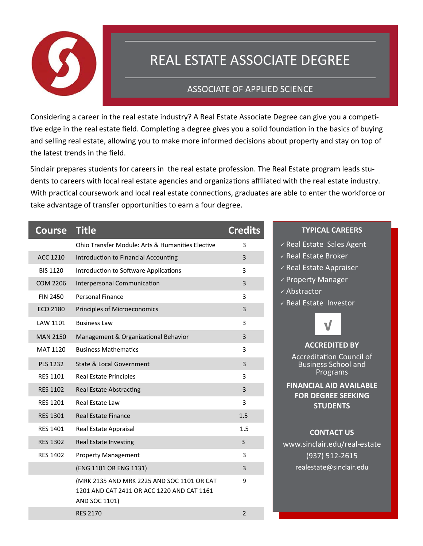

# REAL ESTATE ASSOCIATE DEGREE

#### **ASSOCIATE OF APPLIED SCIENCE**

Considering a career in the real estate industry? A Real Estate Associate Degree can give you a competitive edge in the real estate field. Completing a degree gives you a solid foundation in the basics of buying and selling real estate, allowing you to make more informed decisions about property and stay on top of the latest trends in the field.

Sinclair prepares students for careers in the real estate profession. The Real Estate program leads students to careers with local real estate agencies and organizations affiliated with the real estate industry. With practical coursework and local real estate connections, graduates are able to enter the workforce or take advantage of transfer opportunities to earn a four degree.

| <b>Course</b>   | <b>Title</b>                                                                                              | <b>Credits</b> |
|-----------------|-----------------------------------------------------------------------------------------------------------|----------------|
|                 | <b>Ohio Transfer Module: Arts &amp; Humanities Elective</b>                                               | 3              |
| ACC 1210        | Introduction to Financial Accounting                                                                      | 3              |
| <b>BIS 1120</b> | Introduction to Software Applications                                                                     | 3              |
| <b>COM 2206</b> | Interpersonal Communication                                                                               | 3              |
| <b>FIN 2450</b> | Personal Finance                                                                                          | 3              |
| <b>ECO 2180</b> | Principles of Microeconomics                                                                              | 3              |
| LAW 1101        | <b>Business Law</b>                                                                                       | 3              |
| <b>MAN 2150</b> | Management & Organizational Behavior                                                                      | 3              |
| MAT 1120        | <b>Business Mathematics</b>                                                                               | 3              |
| <b>PLS 1232</b> | <b>State &amp; Local Government</b>                                                                       | 3              |
| <b>RES 1101</b> | <b>Real Estate Principles</b>                                                                             | 3              |
| <b>RES 1102</b> | <b>Real Estate Abstracting</b>                                                                            | 3              |
| <b>RES 1201</b> | <b>Real Estate Law</b>                                                                                    | 3              |
| <b>RES 1301</b> | <b>Real Estate Finance</b>                                                                                | 1.5            |
| <b>RES 1401</b> | Real Estate Appraisal                                                                                     | 1.5            |
| <b>RES 1302</b> | <b>Real Estate Investing</b>                                                                              | 3              |
| <b>RES 1402</b> | <b>Property Management</b>                                                                                | 3              |
|                 | (ENG 1101 OR ENG 1131)                                                                                    | 3              |
|                 | (MRK 2135 AND MRK 2225 AND SOC 1101 OR CAT<br>1201 AND CAT 2411 OR ACC 1220 AND CAT 1161<br>AND SOC 1101) | 9              |
|                 | <b>RES 2170</b>                                                                                           | $\overline{2}$ |

#### **TYPICAL CAREERS**

- $\checkmark$  Real Estate Sales Agent
- ✓ Real Estate Broker
- ← Real Estate Appraiser
- $\checkmark$  Property Manager
- ✓ Abstractor
- √ Real Estate Investor



**ACCREDITED BY Accreditation Council of Business School and** Programs

**FINANCIAL AID AVAILABLE FOR DEGREE SEEKING STUDENTS** 

#### **CONTACT US**

www.sinclair.edu/real-estate  $(937) 512 - 2615$ realestate@sinclair.edu